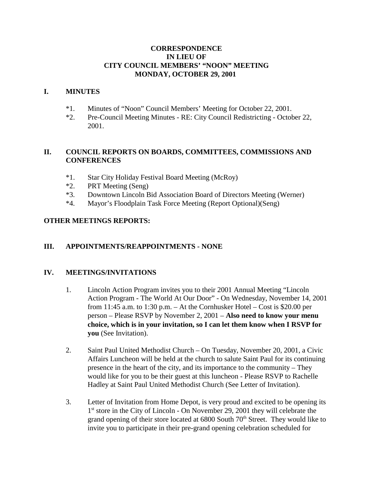## **CORRESPONDENCE IN LIEU OF CITY COUNCIL MEMBERS' "NOON" MEETING MONDAY, OCTOBER 29, 2001**

#### **I. MINUTES**

- \*1. Minutes of "Noon" Council Members' Meeting for October 22, 2001.
- \*2. Pre-Council Meeting Minutes RE: City Council Redistricting October 22, 2001.

# **II. COUNCIL REPORTS ON BOARDS, COMMITTEES, COMMISSIONS AND CONFERENCES**

- \*1. Star City Holiday Festival Board Meeting (McRoy)
- \*2. PRT Meeting (Seng)
- \*3. Downtown Lincoln Bid Association Board of Directors Meeting (Werner)
- \*4. Mayor's Floodplain Task Force Meeting (Report Optional)(Seng)

## **OTHER MEETINGS REPORTS:**

## **III. APPOINTMENTS/REAPPOINTMENTS - NONE**

## **IV. MEETINGS/INVITATIONS**

- 1. Lincoln Action Program invites you to their 2001 Annual Meeting "Lincoln Action Program - The World At Our Door" - On Wednesday, November 14, 2001 from 11:45 a.m. to 1:30 p.m. – At the Cornhusker Hotel – Cost is \$20.00 per person – Please RSVP by November 2, 2001 – **Also need to know your menu choice, which is in your invitation, so I can let them know when I RSVP for you** (See Invitation).
- 2. Saint Paul United Methodist Church On Tuesday, November 20, 2001, a Civic Affairs Luncheon will be held at the church to salute Saint Paul for its continuing presence in the heart of the city, and its importance to the community – They would like for you to be their guest at this luncheon - Please RSVP to Rachelle Hadley at Saint Paul United Methodist Church (See Letter of Invitation).
- 3. Letter of Invitation from Home Depot, is very proud and excited to be opening its 1<sup>st</sup> store in the City of Lincoln - On November 29, 2001 they will celebrate the grand opening of their store located at  $6800$  South  $70<sup>th</sup>$  Street. They would like to invite you to participate in their pre-grand opening celebration scheduled for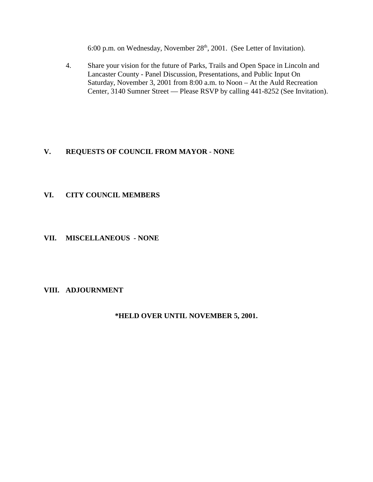6:00 p.m. on Wednesday, November 28<sup>th</sup>, 2001. (See Letter of Invitation).

4. Share your vision for the future of Parks, Trails and Open Space in Lincoln and Lancaster County - Panel Discussion, Presentations, and Public Input On Saturday, November 3, 2001 from 8:00 a.m. to Noon – At the Auld Recreation Center, 3140 Sumner Street — Please RSVP by calling 441-8252 (See Invitation).

## **V. REQUESTS OF COUNCIL FROM MAYOR** - **NONE**

## **VI. CITY COUNCIL MEMBERS**

#### **VII. MISCELLANEOUS - NONE**

#### **VIII. ADJOURNMENT**

#### **\*HELD OVER UNTIL NOVEMBER 5, 2001.**